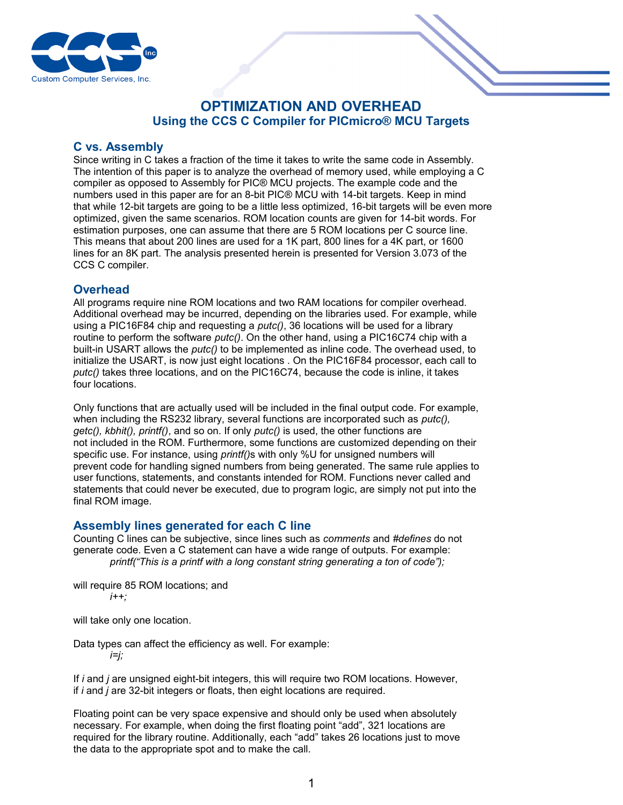

# **OPTIMIZATION AND OVERHEAD Using the CCS C Compiler for PICmicro® MCU Targets**

## **C vs. Assembly**

Since writing in C takes a fraction of the time it takes to write the same code in Assembly. The intention of this paper is to analyze the overhead of memory used, while employing a C compiler as opposed to Assembly for PIC® MCU projects. The example code and the numbers used in this paper are for an 8-bit PIC® MCU with 14-bit targets. Keep in mind that while 12-bit targets are going to be a little less optimized, 16-bit targets will be even more optimized, given the same scenarios. ROM location counts are given for 14-bit words. For estimation purposes, one can assume that there are 5 ROM locations per C source line. This means that about 200 lines are used for a 1K part, 800 lines for a 4K part, or 1600 lines for an 8K part. The analysis presented herein is presented for Version 3.073 of the CCS C compiler.

## **Overhead**

All programs require nine ROM locations and two RAM locations for compiler overhead. Additional overhead may be incurred, depending on the libraries used. For example, while using a PIC16F84 chip and requesting a *putc()*, 36 locations will be used for a library routine to perform the software *putc()*. On the other hand, using a PIC16C74 chip with a built-in USART allows the *putc()* to be implemented as inline code. The overhead used, to initialize the USART, is now just eight locations . On the PIC16F84 processor, each call to *putc()* takes three locations, and on the PIC16C74, because the code is inline, it takes four locations.

Only functions that are actually used will be included in the final output code. For example, when including the RS232 library, several functions are incorporated such as *putc(), getc(), kbhit(), printf()*, and so on. If only *putc()* is used, the other functions are not included in the ROM. Furthermore, some functions are customized depending on their specific use. For instance, using *printf()*s with only %U for unsigned numbers will prevent code for handling signed numbers from being generated. The same rule applies to user functions, statements, and constants intended for ROM. Functions never called and statements that could never be executed, due to program logic, are simply not put into the final ROM image.

### **Assembly lines generated for each C line**

Counting C lines can be subjective, since lines such as *comments* and *#defines* do not generate code. Even a C statement can have a wide range of outputs. For example: *printf("This is a printf with a long constant string generating a ton of code");*

will require 85 ROM locations; and *i++;*

will take only one location.

Data types can affect the efficiency as well. For example: *i=j;*

If *i* and *j* are unsigned eight-bit integers, this will require two ROM locations. However, if *i* and *j* are 32-bit integers or floats, then eight locations are required.

Floating point can be very space expensive and should only be used when absolutely necessary. For example, when doing the first floating point "add", 321 locations are required for the library routine. Additionally, each "add" takes 26 locations just to move the data to the appropriate spot and to make the call.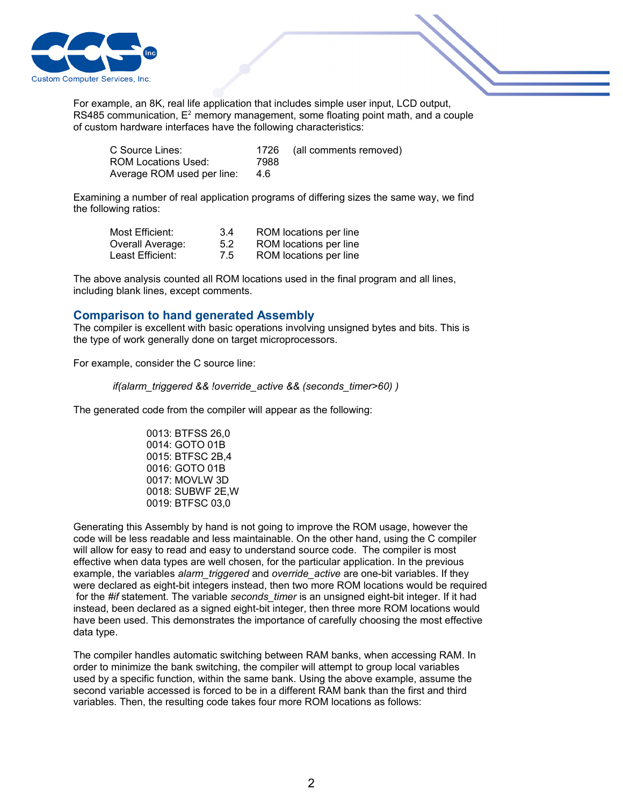

For example, an 8K, real life application that includes simple user input, LCD output, RS485 communication,  $E^2$  memory management, some floating point math, and a couple of custom hardware interfaces have the following characteristics:

| C Source Lines:            | 1726 | (all comments removed) |
|----------------------------|------|------------------------|
| ROM Locations Used:        | 7988 |                        |
| Average ROM used per line: | 4.6  |                        |

Examining a number of real application programs of differing sizes the same way, we find the following ratios:

| Most Efficient:  | 3.4 | ROM locations per line |
|------------------|-----|------------------------|
| Overall Average: | 5.2 | ROM locations per line |
| Least Efficient: | 7.5 | ROM locations per line |

The above analysis counted all ROM locations used in the final program and all lines, including blank lines, except comments.

### **Comparison to hand generated Assembly**

The compiler is excellent with basic operations involving unsigned bytes and bits. This is the type of work generally done on target microprocessors.

For example, consider the C source line:

 *if(alarm\_triggered && !override\_active && (seconds\_timer>60) )* 

The generated code from the compiler will appear as the following:

0013: BTFSS 26,0 0014: GOTO 01B 0015: BTFSC 2B,4 0016: GOTO 01B 0017: MOVLW 3D 0018: SUBWF 2E,W 0019: BTFSC 03,0

Generating this Assembly by hand is not going to improve the ROM usage, however the code will be less readable and less maintainable. On the other hand, using the C compiler will allow for easy to read and easy to understand source code. The compiler is most effective when data types are well chosen, for the particular application. In the previous example, the variables *alarm\_triggered* and *override\_active* are one-bit variables. If they were declared as eight-bit integers instead, then two more ROM locations would be required for the *#if* statement. The variable *seconds\_timer* is an unsigned eight-bit integer. If it had instead, been declared as a signed eight-bit integer, then three more ROM locations would have been used. This demonstrates the importance of carefully choosing the most effective data type.

The compiler handles automatic switching between RAM banks, when accessing RAM. In order to minimize the bank switching, the compiler will attempt to group local variables used by a specific function, within the same bank. Using the above example, assume the second variable accessed is forced to be in a different RAM bank than the first and third variables. Then, the resulting code takes four more ROM locations as follows: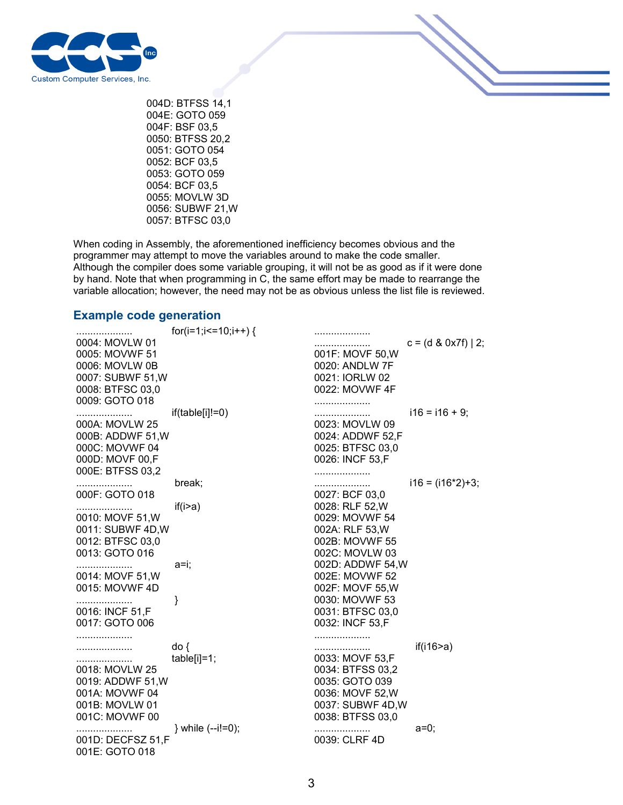

004D: BTFSS 14,1 004E: GOTO 059 004F: BSF 03,5 0050: BTFSS 20,2 0051: GOTO 054 0052: BCF 03,5 0053: GOTO 059 0054: BCF 03,5 0055: MOVLW 3D 0056: SUBWF 21,W 0057: BTFSC 03,0

When coding in Assembly, the aforementioned inefficiency becomes obvious and the programmer may attempt to move the variables around to make the code smaller. Although the compiler does some variable grouping, it will not be as good as if it were done by hand. Note that when programming in C, the same effort may be made to rearrange the variable allocation; however, the need may not be as obvious unless the list file is reviewed.

#### **Example code generation**

|                       | for(i=1;i <= $10$ ;i + + ) { | .                                  |                        |
|-----------------------|------------------------------|------------------------------------|------------------------|
| 0004: MOVLW 01        |                              |                                    | $c = (d \& 0x7f)$   2; |
| 0005: MOVWF 51        |                              | 001F: MOVF 50, W                   |                        |
| 0006: MOVLW 0B        |                              | 0020: ANDLW 7F                     |                        |
| 0007: SUBWF 51, W     |                              | 0021: IORLW 02                     |                        |
| 0008: BTFSC 03,0      |                              | 0022: MOVWF 4F                     |                        |
| 0009: GOTO 018        |                              | .                                  |                        |
| .                     | $if(table[i]!=0)$            |                                    | $i16 = i16 + 9;$       |
| 000A: MOVLW 25        |                              | 0023: MOVLW 09                     |                        |
| 000B: ADDWF 51, W     |                              | 0024: ADDWF 52,F                   |                        |
| 000C: MOVWF 04        |                              | 0025: BTFSC 03,0                   |                        |
| 000D: MOVF 00,F       |                              | 0026: INCF 53,F                    |                        |
| 000E: BTFSS 03,2      |                              |                                    |                        |
| .                     | break;                       | .                                  | $i16 = (i16*2)+3;$     |
| 000F: GOTO 018        |                              | 0027: BCF 03,0                     |                        |
|                       | if(i>a)                      | 0028: RLF 52, W                    |                        |
| .<br>0010: MOVF 51, W |                              | 0029: MOVWF 54                     |                        |
| 0011: SUBWF 4D, W     |                              | 002A: RLF 53, W                    |                        |
| 0012: BTFSC 03,0      |                              | 002B: MOVWF 55                     |                        |
| 0013: GOTO 016        |                              | 002C: MOVLW 03                     |                        |
|                       | a=i;                         | 002D: ADDWF 54, W                  |                        |
| .<br>0014: MOVF 51, W |                              | 002E: MOVWF 52                     |                        |
| 0015: MOVWF 4D        |                              | 002F: MOVF 55, W                   |                        |
|                       |                              | 0030: MOVWF 53                     |                        |
| .<br>0016: INCF 51, F | }                            | 0031: BTFSC 03,0                   |                        |
| 0017: GOTO 006        |                              | 0032: INCF 53,F                    |                        |
|                       |                              |                                    |                        |
| .                     |                              | .                                  |                        |
| .                     | do {                         | <br>0033: MOVF 53,F                | if(i16 $\geq$ a)       |
|                       | $table[i]=1;$                |                                    |                        |
| 0018: MOVLW 25        |                              | 0034: BTFSS 03,2<br>0035: GOTO 039 |                        |
| 0019: ADDWF 51, W     |                              |                                    |                        |
| 001A: MOVWF 04        |                              | 0036: MOVF 52, W                   |                        |
| 001B: MOVLW 01        |                              | 0037: SUBWF 4D, W                  |                        |
| 001C: MOVWF 00        |                              | 0038: BTFSS 03,0                   |                        |
| .                     | } while (--i!=0);            | .                                  | $a=0$ ;                |
| 001D: DECFSZ 51,F     |                              | 0039: CLRF 4D                      |                        |
| 001E: GOTO 018        |                              |                                    |                        |